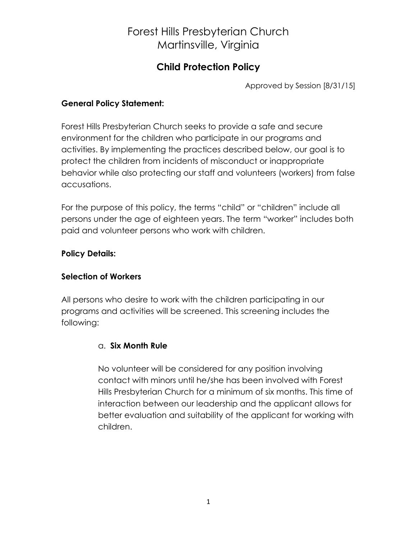### **Child Protection Policy**

Approved by Session [8/31/15]

### **General Policy Statement:**

Forest Hills Presbyterian Church seeks to provide a safe and secure environment for the children who participate in our programs and activities. By implementing the practices described below, our goal is to protect the children from incidents of misconduct or inappropriate behavior while also protecting our staff and volunteers (workers) from false accusations.

For the purpose of this policy, the terms "child" or "children" include all persons under the age of eighteen years. The term "worker" includes both paid and volunteer persons who work with children.

### **Policy Details:**

### **Selection of Workers**

All persons who desire to work with the children participating in our programs and activities will be screened. This screening includes the following:

### a. **Six Month Rule**

No volunteer will be considered for any position involving contact with minors until he/she has been involved with Forest Hills Presbyterian Church for a minimum of six months. This time of interaction between our leadership and the applicant allows for better evaluation and suitability of the applicant for working with children.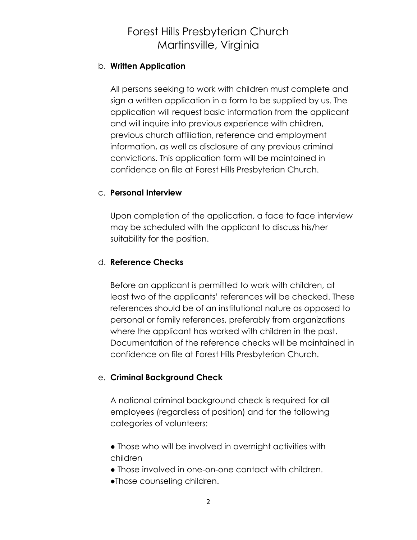#### b. **Written Application**

All persons seeking to work with children must complete and sign a written application in a form to be supplied by us. The application will request basic information from the applicant and will inquire into previous experience with children, previous church affiliation, reference and employment information, as well as disclosure of any previous criminal convictions. This application form will be maintained in confidence on file at Forest Hills Presbyterian Church.

#### c. **Personal Interview**

Upon completion of the application, a face to face interview may be scheduled with the applicant to discuss his/her suitability for the position.

#### d. **Reference Checks**

Before an applicant is permitted to work with children, at least two of the applicants' references will be checked. These references should be of an institutional nature as opposed to personal or family references, preferably from organizations where the applicant has worked with children in the past. Documentation of the reference checks will be maintained in confidence on file at Forest Hills Presbyterian Church.

#### e. **Criminal Background Check**

A national criminal background check is required for all employees (regardless of position) and for the following categories of volunteers:

- Those who will be involved in overnight activities with children
- Those involved in one-on-one contact with children.
- ●Those counseling children.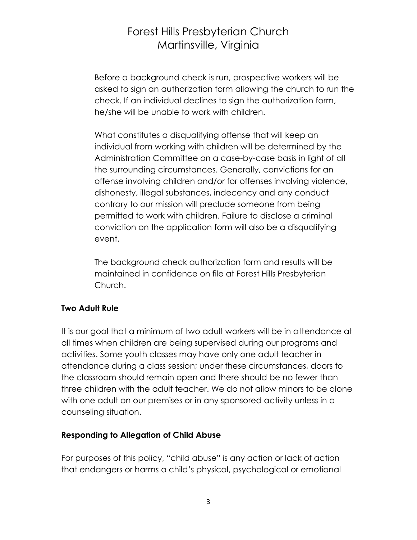Before a background check is run, prospective workers will be asked to sign an authorization form allowing the church to run the check. If an individual declines to sign the authorization form, he/she will be unable to work with children.

What constitutes a disqualifying offense that will keep an individual from working with children will be determined by the Administration Committee on a case-by-case basis in light of all the surrounding circumstances. Generally, convictions for an offense involving children and/or for offenses involving violence, dishonesty, illegal substances, indecency and any conduct contrary to our mission will preclude someone from being permitted to work with children. Failure to disclose a criminal conviction on the application form will also be a disqualifying event.

The background check authorization form and results will be maintained in confidence on file at Forest Hills Presbyterian Church.

### **Two Adult Rule**

It is our goal that a minimum of two adult workers will be in attendance at all times when children are being supervised during our programs and activities. Some youth classes may have only one adult teacher in attendance during a class session; under these circumstances, doors to the classroom should remain open and there should be no fewer than three children with the adult teacher. We do not allow minors to be alone with one adult on our premises or in any sponsored activity unless in a counseling situation.

### **Responding to Allegation of Child Abuse**

For purposes of this policy, "child abuse" is any action or lack of action that endangers or harms a child's physical, psychological or emotional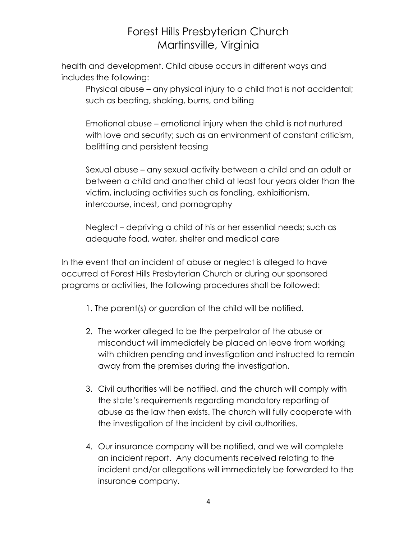health and development. Child abuse occurs in different ways and includes the following:

Physical abuse – any physical injury to a child that is not accidental; such as beating, shaking, burns, and biting

Emotional abuse – emotional injury when the child is not nurtured with love and security; such as an environment of constant criticism, belittling and persistent teasing

Sexual abuse – any sexual activity between a child and an adult or between a child and another child at least four years older than the victim, including activities such as fondling, exhibitionism, intercourse, incest, and pornography

Neglect – depriving a child of his or her essential needs; such as adequate food, water, shelter and medical care

In the event that an incident of abuse or neglect is alleged to have occurred at Forest Hills Presbyterian Church or during our sponsored programs or activities, the following procedures shall be followed:

- 1. The parent(s) or guardian of the child will be notified.
- 2. The worker alleged to be the perpetrator of the abuse or misconduct will immediately be placed on leave from working with children pending and investigation and instructed to remain away from the premises during the investigation.
- 3. Civil authorities will be notified, and the church will comply with the state's requirements regarding mandatory reporting of abuse as the law then exists. The church will fully cooperate with the investigation of the incident by civil authorities.
- 4. Our insurance company will be notified, and we will complete an incident report. Any documents received relating to the incident and/or allegations will immediately be forwarded to the insurance company.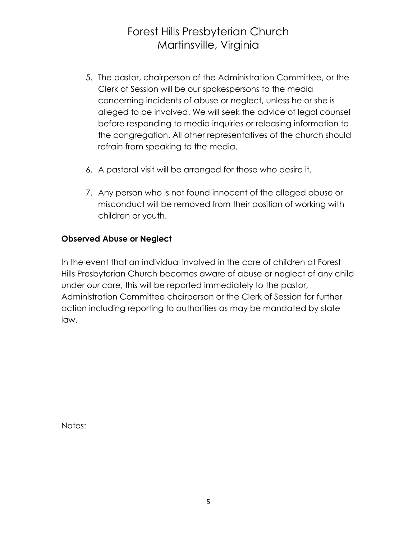- 5. The pastor, chairperson of the Administration Committee, or the Clerk of Session will be our spokespersons to the media concerning incidents of abuse or neglect, unless he or she is alleged to be involved. We will seek the advice of legal counsel before responding to media inquiries or releasing information to the congregation. All other representatives of the church should refrain from speaking to the media.
- 6. A pastoral visit will be arranged for those who desire it.
- 7. Any person who is not found innocent of the alleged abuse or misconduct will be removed from their position of working with children or youth.

### **Observed Abuse or Neglect**

In the event that an individual involved in the care of children at Forest Hills Presbyterian Church becomes aware of abuse or neglect of any child under our care, this will be reported immediately to the pastor, Administration Committee chairperson or the Clerk of Session for further action including reporting to authorities as may be mandated by state law.

Notes: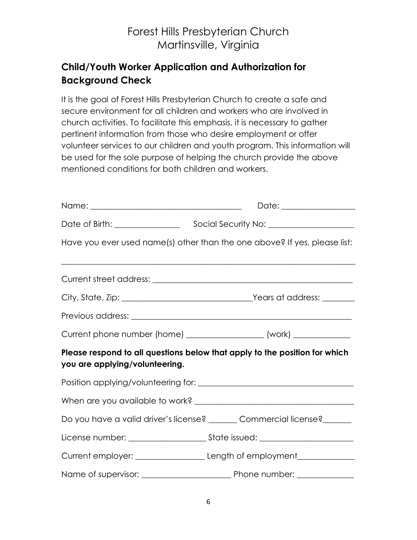### **Child/Youth Worker Application and Authorization for Background Check**

It is the goal of Forest Hills Presbyterian Church to create a safe and secure environment for all children and workers who are involved in church activities. To facilitate this emphasis, it is necessary to gather pertinent information from those who desire employment or offer volunteer services to our children and youth program. This information will be used for the sole purpose of helping the church provide the above mentioned conditions for both children and workers.

|                                                      | Have you ever used name(s) other than the one above? If yes, please list:        |  |
|------------------------------------------------------|----------------------------------------------------------------------------------|--|
|                                                      |                                                                                  |  |
|                                                      |                                                                                  |  |
|                                                      |                                                                                  |  |
|                                                      | Current phone number (home) ____________________ (work) ______________           |  |
| you are applying/volunteering.                       | Please respond to all questions below that apply to the position for which       |  |
|                                                      |                                                                                  |  |
|                                                      |                                                                                  |  |
|                                                      | Do you have a valid driver's license? ______ Commercial license? ______          |  |
|                                                      |                                                                                  |  |
|                                                      | Current employer: ___________________________Length of employment_______________ |  |
| Name of supervisor: example a property phone number: |                                                                                  |  |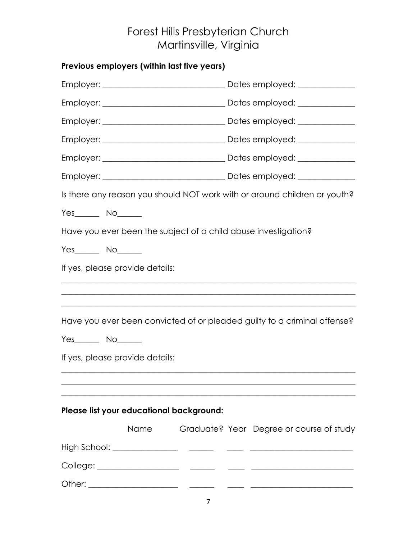|                   | Previous employers (within last five years) |  |  |                                                                           |  |
|-------------------|---------------------------------------------|--|--|---------------------------------------------------------------------------|--|
|                   |                                             |  |  |                                                                           |  |
|                   |                                             |  |  |                                                                           |  |
|                   |                                             |  |  |                                                                           |  |
|                   |                                             |  |  |                                                                           |  |
|                   |                                             |  |  |                                                                           |  |
|                   |                                             |  |  |                                                                           |  |
|                   |                                             |  |  | Is there any reason you should NOT work with or around children or youth? |  |
| $Yes$ No $\qquad$ |                                             |  |  |                                                                           |  |
|                   |                                             |  |  | Have you ever been the subject of a child abuse investigation?            |  |
| $Yes$ No $\qquad$ |                                             |  |  |                                                                           |  |
|                   | If yes, please provide details:             |  |  |                                                                           |  |
|                   |                                             |  |  |                                                                           |  |
|                   |                                             |  |  |                                                                           |  |
|                   |                                             |  |  | Have you ever been convicted of or pleaded guilty to a criminal offense?  |  |
| $Yes$ No $\qquad$ |                                             |  |  |                                                                           |  |
|                   | If yes, please provide details:             |  |  |                                                                           |  |
|                   |                                             |  |  |                                                                           |  |
|                   |                                             |  |  |                                                                           |  |
|                   | Please list your educational background:    |  |  |                                                                           |  |
|                   | Name                                        |  |  | Graduate? Year Degree or course of study                                  |  |
|                   |                                             |  |  |                                                                           |  |
|                   |                                             |  |  |                                                                           |  |
|                   |                                             |  |  |                                                                           |  |
|                   |                                             |  |  |                                                                           |  |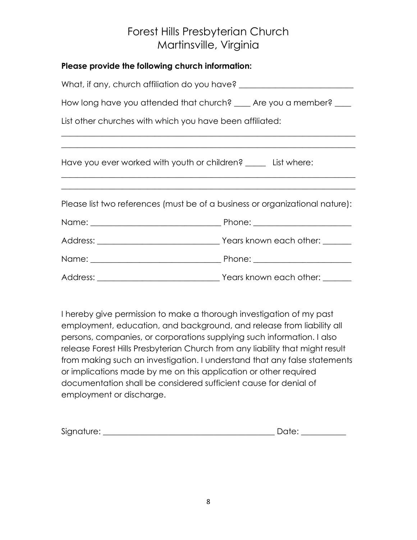| Please provide the following church information:               |                                                                                  |  |
|----------------------------------------------------------------|----------------------------------------------------------------------------------|--|
|                                                                | What, if any, church affiliation do you have? __________________________________ |  |
|                                                                | How long have you attended that church? _____ Are you a member? _____            |  |
| List other churches with which you have been affiliated:       |                                                                                  |  |
|                                                                |                                                                                  |  |
| Have you ever worked with youth or children? _____ List where: |                                                                                  |  |
|                                                                |                                                                                  |  |
|                                                                | Please list two references (must be of a business or organizational nature):     |  |
|                                                                |                                                                                  |  |
|                                                                |                                                                                  |  |
|                                                                |                                                                                  |  |
|                                                                |                                                                                  |  |

I hereby give permission to make a thorough investigation of my past employment, education, and background, and release from liability all persons, companies, or corporations supplying such information. I also release Forest Hills Presbyterian Church from any liability that might result from making such an investigation. I understand that any false statements or implications made by me on this application or other required documentation shall be considered sufficient cause for denial of employment or discharge.

| Signature: |  |
|------------|--|
|------------|--|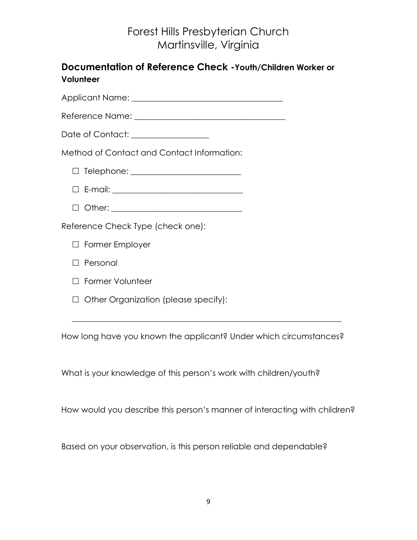| Documentation of Reference Check - Youth/Children Worker or<br>Volunteer |
|--------------------------------------------------------------------------|
|                                                                          |
|                                                                          |
| Date of Contact: ________________                                        |
| Method of Contact and Contact Information:                               |
|                                                                          |
|                                                                          |
|                                                                          |
| Reference Check Type (check one):                                        |
| <b>Former Employer</b>                                                   |
| Personal                                                                 |
| $\Box$ Former Volunteer                                                  |
| Other Organization (please specify):                                     |

How long have you known the applicant? Under which circumstances?

What is your knowledge of this person's work with children/youth?

How would you describe this person's manner of interacting with children?

Based on your observation, is this person reliable and dependable?